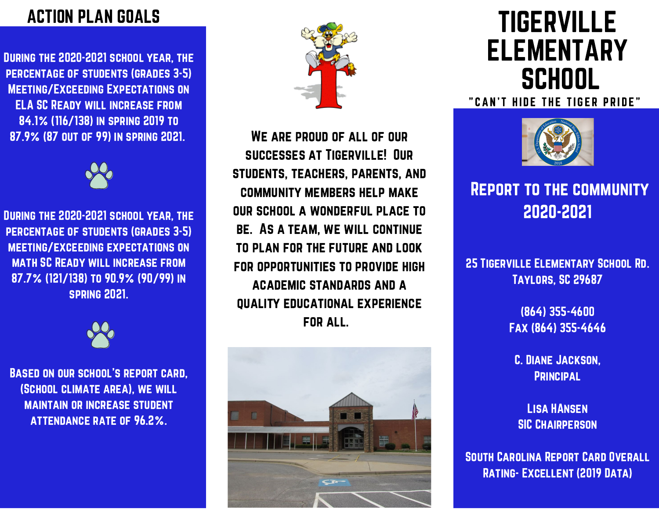#### ACTION PLAN GOALS

During the 2020-2021 school year, the percentage of students (grades 3-5) Meeting/Exceeding Expectations on ELA SC Ready will increase from 84.1% (116/138) in spring 2019 to 87.9% (87 out of 99) in spring 2021.



During the 2020-2021 school year, the percentage of students (grades 3-5) meeting/exceeding expectations on math SC Ready will increase from 87.7% (121/138) to 90.9% (90/99) in spring 2021.



Based on our school's report card, (School climate area), we will maintain or increase student attendance rate of 96.2%.



We are proud of all of our successes at Tigerville! Our students, teachers, parents, and community members help make our school a wonderful place to be. As a team, we will continue to plan for the future and look for opportunities to provide high academic standards and a quality educational experience for all.



# TIGERVILLE ELEMENTARY **SCHOOL**

" CAN'T HIDE THE TIGER PRIDE"



#### Report to the community 2020-2021

25 Tigerville Elementary School Rd. Taylors, SC 29687

> (864) 355-4600 Fax (864) 355-4646

C. Diane Jackson, **PRINCIPAL** 

Lisa HAnsen **SIC CHAIRPERSON** 

South Carolina Report Card Overall Rating- Excellent (2019 Data)